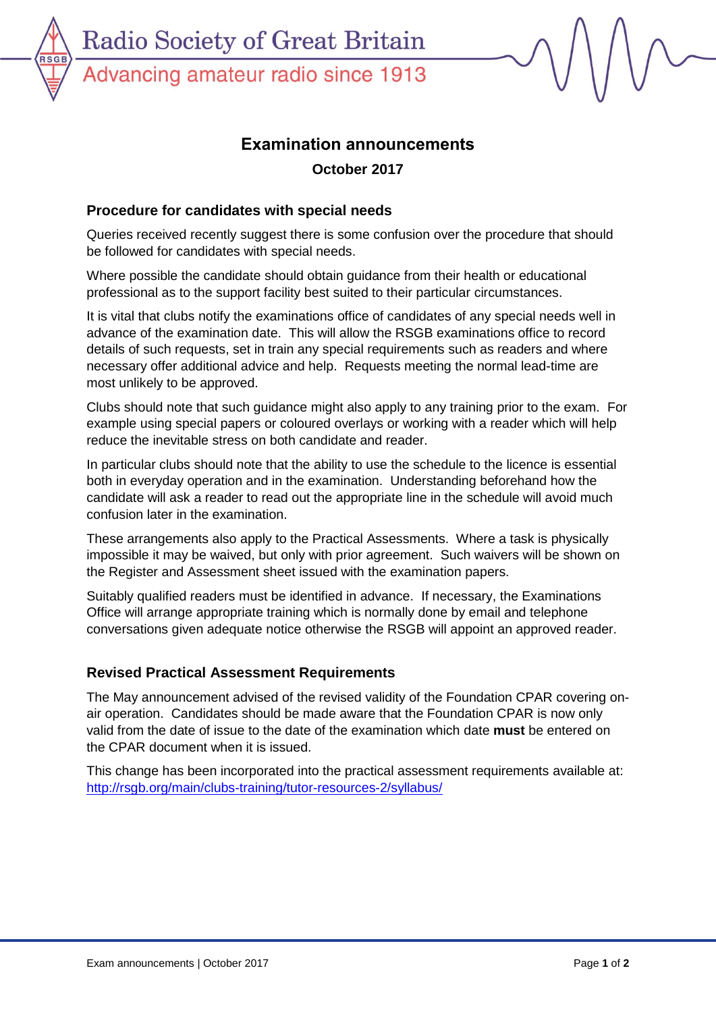Advancing amateur radio since 1913

**RSC** 

# **Examination announcements**

**October 2017**

# **Procedure for candidates with special needs**

Queries received recently suggest there is some confusion over the procedure that should be followed for candidates with special needs.

Where possible the candidate should obtain guidance from their health or educational professional as to the support facility best suited to their particular circumstances.

It is vital that clubs notify the examinations office of candidates of any special needs well in advance of the examination date. This will allow the RSGB examinations office to record details of such requests, set in train any special requirements such as readers and where necessary offer additional advice and help. Requests meeting the normal lead-time are most unlikely to be approved.

Clubs should note that such guidance might also apply to any training prior to the exam. For example using special papers or coloured overlays or working with a reader which will help reduce the inevitable stress on both candidate and reader.

In particular clubs should note that the ability to use the schedule to the licence is essential both in everyday operation and in the examination. Understanding beforehand how the candidate will ask a reader to read out the appropriate line in the schedule will avoid much confusion later in the examination.

These arrangements also apply to the Practical Assessments. Where a task is physically impossible it may be waived, but only with prior agreement. Such waivers will be shown on the Register and Assessment sheet issued with the examination papers.

Suitably qualified readers must be identified in advance. If necessary, the Examinations Office will arrange appropriate training which is normally done by email and telephone conversations given adequate notice otherwise the RSGB will appoint an approved reader.

### **Revised Practical Assessment Requirements**

The May announcement advised of the revised validity of the Foundation CPAR covering onair operation. Candidates should be made aware that the Foundation CPAR is now only valid from the date of issue to the date of the examination which date **must** be entered on the CPAR document when it is issued.

This change has been incorporated into the practical assessment requirements available at: <http://rsgb.org/main/clubs-training/tutor-resources-2/syllabus/>